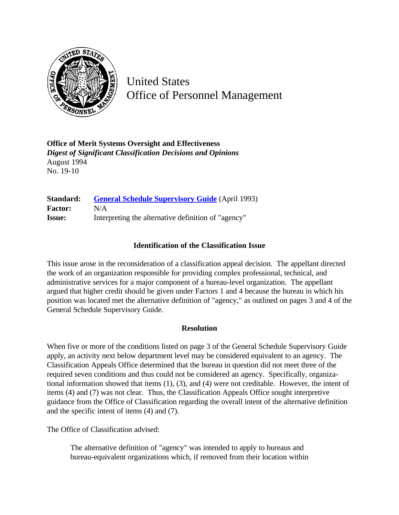

United States Office of Personnel Management

**Office of Merit Systems Oversight and Effectiveness** *Digest of Significant Classification Decisions and Opinions* August 1994 No. 19-10

**Standard:** [General Schedule Supervisory Guide](http://www.opm.gov/hr/fedclass/gssg.pdf) (April 1993) **Factor:** N/A **Issue:** Interpreting the alternative definition of "agency"

## **Identification of the Classification Issue**

This issue arose in the reconsideration of a classification appeal decision. The appellant directed the work of an organization responsible for providing complex professional, technical, and administrative services for a major component of a bureau-level organization. The appellant argued that higher credit should be given under Factors 1 and 4 because the bureau in which his position was located met the alternative definition of "agency," as outlined on pages 3 and 4 of the General Schedule Supervisory Guide.

## **Resolution**

When five or more of the conditions listed on page 3 of the General Schedule Supervisory Guide apply, an activity next below department level may be considered equivalent to an agency. The Classification Appeals Office determined that the bureau in question did not meet three of the required seven conditions and thus could not be considered an agency. Specifically, organizational information showed that items (1), (3), and (4) were not creditable. However, the intent of items (4) and (7) was not clear. Thus, the Classification Appeals Office sought interpretive guidance from the Office of Classification regarding the overall intent of the alternative definition and the specific intent of items (4) and (7).

The Office of Classification advised:

The alternative definition of "agency" was intended to apply to bureaus and bureau-equivalent organizations which, if removed from their location within